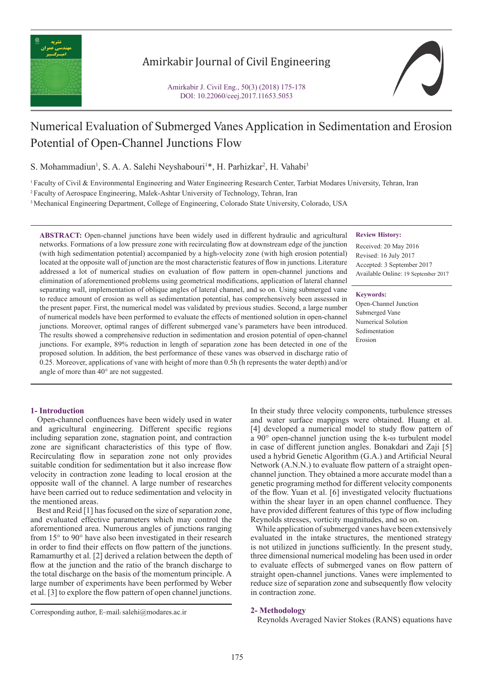

# Amirkabir Journal of Civil Engineering



# Numerical Evaluation of Submerged Vanes Application in Sedimentation and Erosion Potential of Open-Channel Junctions Flow

S. Mohammadiun<sup>1</sup>, S. A. A. Salehi Neyshabouri<sup>1\*</sup>, H. Parhizkar<sup>2</sup>, H. Vahabi<sup>3</sup>

1 Faculty of Civil & Environmental Engineering and Water Engineering Research Center, Tarbiat Modares University, Tehran, Iran

2 Faculty of Aerospace Engineering, Malek-Ashtar University of Technology, Tehran, Iran

3 Mechanical Engineering Department, College of Engineering, Colorado State University, Colorado, USA

**ABSTRACT:** Open-channel junctions have been widely used in different hydraulic and agricultural networks. Formations of a low pressure zone with recirculating flow at downstream edge of the junction (with high sedimentation potential) accompanied by a high-velocity zone (with high erosion potential) located at the opposite wall of junction are the most characteristic features of flow in junctions. Literature addressed a lot of numerical studies on evaluation of flow pattern in open-channel junctions and elimination of aforementioned problems using geometrical modifications, application of lateral channel separating wall, implementation of oblique angles of lateral channel, and so on. Using submerged vane to reduce amount of erosion as well as sedimentation potential, has comprehensively been assessed in the present paper. First, the numerical model was validated by previous studies. Second, a large number of numerical models have been performed to evaluate the effects of mentioned solution in open-channel junctions. Moreover, optimal ranges of different submerged vane's parameters have been introduced. The results showed a comprehensive reduction in sedimentation and erosion potential of open-channel junctions. For example, 89% reduction in length of separation zone has been detected in one of the proposed solution. In addition, the best performance of these vanes was observed in discharge ratio of 0.25. Moreover, applications of vane with height of more than 0.5h (h represents the water depth) and/or angle of more than 40° are not suggested.

## **Review History:**

Received: 20 May 2016 Revised: 16 July 2017 Accepted: 3 September 2017 Available Online: 19 September 2017

#### **Keywords:**

Open-Channel Junction Submerged Vane Numerical Solution Sedimentation Erosion

### **1- Introduction**

 Open-channel confluences have been widely used in water and agricultural engineering. Different specific regions including separation zone, stagnation point, and contraction zone are significant characteristics of this type of flow. Recirculating flow in separation zone not only provides suitable condition for sedimentation but it also increase flow velocity in contraction zone leading to local erosion at the opposite wall of the channel. A large number of researches have been carried out to reduce sedimentation and velocity in the mentioned areas.

 Best and Reid [1] has focused on the size of separation zone, and evaluated effective parameters which may control the aforementioned area. Numerous angles of junctions ranging from 15° to 90° have also been investigated in their research in order to find their effects on flow pattern of the junctions. Ramamurthy et al. [2] derived a relation between the depth of flow at the junction and the ratio of the branch discharge to the total discharge on the basis of the momentum principle. A large number of experiments have been performed by Weber et al. [3] to explore the flow pattern of open channel junctions.

In their study three velocity components, turbulence stresses and water surface mappings were obtained. Huang et al. [4] developed a numerical model to study flow pattern of a 90° open-channel junction using the k-ω turbulent model in case of different junction angles. Bonakdari and Zaji [5] used a hybrid Genetic Algorithm (G.A.) and Artificial Neural Network (A.N.N.) to evaluate flow pattern of a straight openchannel junction. They obtained a more accurate model than a genetic programing method for different velocity components of the flow. Yuan et al. [6] investigated velocity fluctuations within the shear layer in an open channel confluence. They have provided different features of this type of flow including Reynolds stresses, vorticity magnitudes, and so on.

 While application of submerged vanes have been extensively evaluated in the intake structures, the mentioned strategy is not utilized in junctions sufficiently. In the present study, three dimensional numerical modeling has been used in order to evaluate effects of submerged vanes on flow pattern of straight open-channel junctions. Vanes were implemented to reduce size of separation zone and subsequently flow velocity in contraction zone.

#### **2- Methodology**

Reynolds Averaged Navier Stokes (RANS) equations have

Corresponding author, E-mail: salehi@modares.ac.ir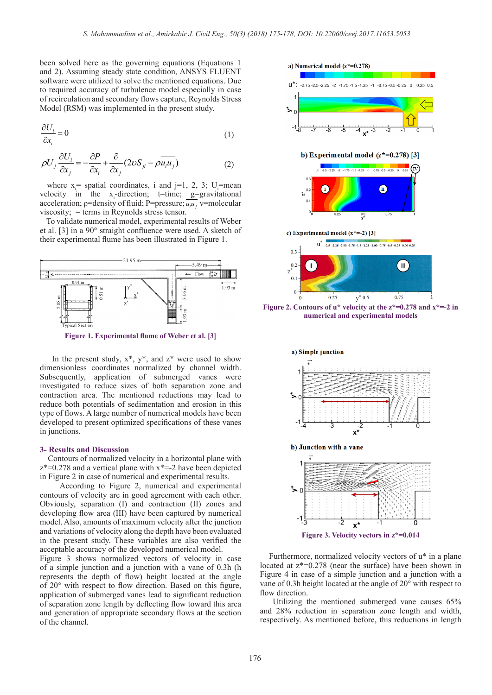been solved here as the governing equations (Equations 1 and 2). Assuming steady state condition, ANSYS FLUENT software were utilized to solve the mentioned equations. Due to required accuracy of turbulence model especially in case of recirculation and secondary flows capture, Reynolds Stress Model (RSM) was implemented in the present study.

$$
\frac{\partial U_i}{\partial x_i} = 0 \tag{1}
$$

$$
\rho U_j \frac{\partial U_i}{\partial x_j} = -\frac{\partial P}{\partial x_i} + \frac{\partial}{\partial x_j} (2\nu S_{ji} - \rho \overline{u_i u_j})
$$
(2)

where  $x =$  spatial coordinates, i and j=1, 2, 3; U<sub>i</sub>=mean velocity in the  $x_i$ -direction; t=time;  $g=$  gravitational acceleration;  $p=$ density of fluid;  $P=$ pressure;  $\overline{u_i u_j}$   $\overline{v}$ =molecular viscosity; = terms in Reynolds stress tensor.

 To validate numerical model, experimental results of Weber et al. [3] in a 90° straight confluence were used. A sketch of their experimental flume has been illustrated in Figure 1.



**Figure 1. Experimental flume of Weber et al. [3]**

In the present study,  $x^*$ ,  $y^*$ , and  $z^*$  were used to show dimensionless coordinates normalized by channel width. Subsequently, application of submerged vanes were investigated to reduce sizes of both separation zone and contraction area. The mentioned reductions may lead to reduce both potentials of sedimentation and erosion in this type of flows. A large number of numerical models have been developed to present optimized specifications of these vanes in junctions.

#### **3- Results and Discussion**

 Contours of normalized velocity in a horizontal plane with  $z^*=0.278$  and a vertical plane with  $x^*=-2$  have been depicted in Figure 2 in case of numerical and experimental results.

 According to Figure 2, numerical and experimental contours of velocity are in good agreement with each other. Obviously, separation (I) and contraction (II) zones and developing flow area (III) have been captured by numerical model. Also, amounts of maximum velocity after the junction and variations of velocity along the depth have been evaluated in the present study. These variables are also verified the acceptable accuracy of the developed numerical model.

Figure 3 shows normalized vectors of velocity in case of a simple junction and a junction with a vane of 0.3h (h represents the depth of flow) height located at the angle of 20° with respect to flow direction. Based on this figure, application of submerged vanes lead to significant reduction of separation zone length by deflecting flow toward this area and generation of appropriate secondary flows at the section of the channel.



**Figure 2. Contours of u\* velocity at the z\*=0.278 and x\*=-2 in numerical and experimental models**



 Furthermore, normalized velocity vectors of u\* in a plane located at z\*=0.278 (near the surface) have been shown in Figure 4 in case of a simple junction and a junction with a vane of 0.3h height located at the angle of 20° with respect to flow direction.

 Utilizing the mentioned submerged vane causes 65% and 28% reduction in separation zone length and width, respectively. As mentioned before, this reductions in length